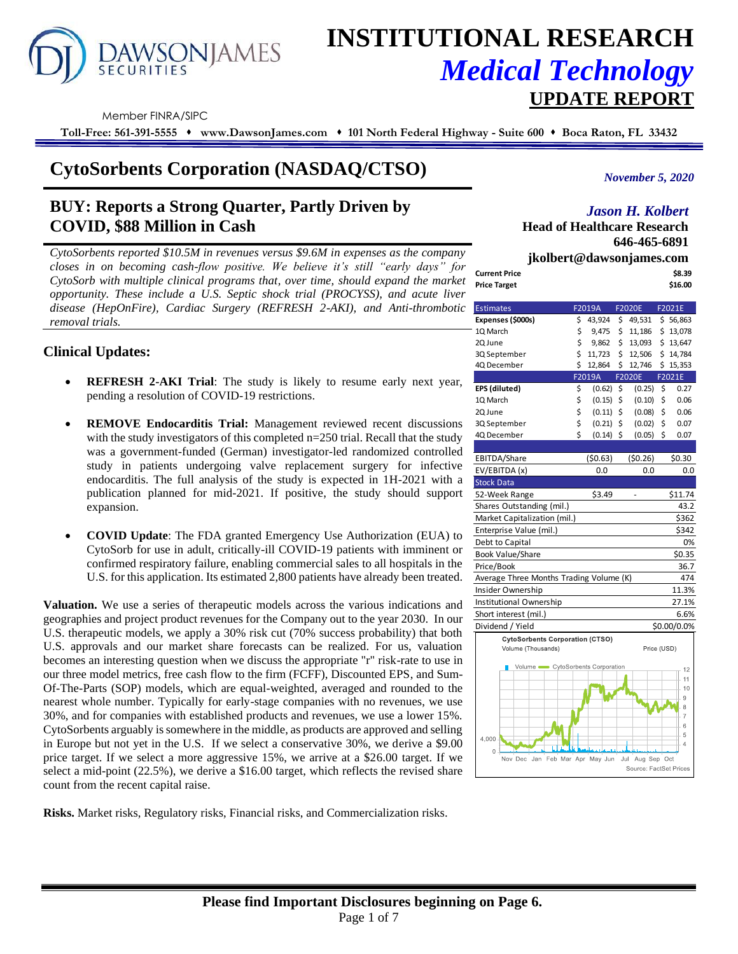

# **INSTITUTIONAL RESEARCH** *Medical Technology*  **UPDATE REPORT**

Member FINRA/SIPC

**Toll-Free: 561-391-5555** ⬧ **www.DawsonJames.com** ⬧ **101 North Federal Highway - Suite 600** ⬧ **Boca Raton, FL 33432**

# **CytoSorbents Corporation (NASDAQ/CTSO)**

# **BUY: Reports a Strong Quarter, Partly Driven by COVID, \$88 Million in Cash**

*CytoSorbents reported \$10.5M in revenues versus \$9.6M in expenses as the company closes in on becoming cash-flow positive. We believe it's still "early days" for CytoSorb with multiple clinical programs that, over time, should expand the market opportunity. These include a U.S. Septic shock trial (PROCYSS), and acute liver disease (HepOnFire), Cardiac Surgery (REFRESH 2-AKI), and Anti-thrombotic removal trials.*

# **Clinical Updates:**

- **REFRESH 2-AKI Trial**: The study is likely to resume early next year, pending a resolution of COVID-19 restrictions.
- **REMOVE Endocarditis Trial:** Management reviewed recent discussions with the study investigators of this completed n=250 trial. Recall that the study was a government-funded (German) investigator-led randomized controlled study in patients undergoing valve replacement surgery for infective endocarditis. The full analysis of the study is expected in 1H-2021 with a publication planned for mid-2021. If positive, the study should support expansion.
- **COVID Update**: The FDA granted Emergency Use Authorization (EUA) to CytoSorb for use in adult, critically-ill COVID-19 patients with imminent or confirmed respiratory failure, enabling commercial sales to all hospitals in the U.S. for this application. Its estimated 2,800 patients have already been treated.

**Valuation.** We use a series of therapeutic models across the various indications and geographies and project product revenues for the Company out to the year 2030. In our U.S. therapeutic models, we apply a 30% risk cut (70% success probability) that both U.S. approvals and our market share forecasts can be realized. For us, valuation becomes an interesting question when we discuss the appropriate "r" risk-rate to use in our three model metrics, free cash flow to the firm (FCFF), Discounted EPS, and Sum-Of-The-Parts (SOP) models, which are equal-weighted, averaged and rounded to the nearest whole number. Typically for early-stage companies with no revenues, we use 30%, and for companies with established products and revenues, we use a lower 15%. CytoSorbents arguably is somewhere in the middle, as products are approved and selling in Europe but not yet in the U.S. If we select a conservative 30%, we derive a \$9.00 price target. If we select a more aggressive 15%, we arrive at a \$26.00 target. If we select a mid-point (22.5%), we derive a \$16.00 target, which reflects the revised share count from the recent capital raise.

**Risks.** Market risks, Regulatory risks, Financial risks, and Commercialization risks.

*November 5, 2020*

# *Jason H. Kolbert*

**Head of Healthcare Research 646-465-6891**

|               | jkolbert@dawsonjames.com |
|---------------|--------------------------|
| Current Price | \$8.39                   |
| Price Target  | \$16.00                  |

| <b>Estimates</b>                        |    | F2019A              |     | <b>F2020E</b>          |    | F2021E              |
|-----------------------------------------|----|---------------------|-----|------------------------|----|---------------------|
| Expenses (\$000s)                       | \$ | 43,924              | \$  | 49,531                 |    | \$56,863            |
| 1Q March                                | \$ | 9,475               | \$  | 11,186                 |    | \$13,078            |
| 2Q June                                 | \$ | 9,862               | \$  | 13,093                 |    | \$13,647            |
| 3Q September                            | \$ | 11,723              | \$  | 12,506                 |    | \$14,784            |
| 4Q December                             | \$ | 12,864              | \$  | 12,746                 |    | \$15,353            |
|                                         |    | F2019A              |     | F2020E                 |    | F2021E              |
| EPS (diluted)                           | \$ | (0.62)              | \$  | (0.25)                 | \$ | 0.27                |
| 1Q March                                | \$ | (0.15)              | \$  | (0.10)                 | \$ | 0.06                |
| 2Q June                                 | \$ | (0.11)              | \$  | (0.08)                 | \$ | 0.06                |
| 3Q September                            | \$ | (0.21)              | \$  | (0.02)                 | \$ | 0.07                |
| 4Q December                             | Ś  | (0.14)              | Ś   | (0.05)                 | Ś  | 0.07                |
|                                         |    |                     |     |                        |    |                     |
| EBITDA/Share                            |    | (50.63)             |     | (50.26)                |    | \$0.30              |
| EV/EBITDA (x)                           |    | 0.0                 |     | 0.0                    |    | 0.0                 |
| <b>Stock Data</b>                       |    |                     |     |                        |    |                     |
| 52-Week Range                           |    | \$3.49              |     |                        |    | \$11.74             |
| Shares Outstanding (mil.)               |    |                     |     |                        |    | 43.2                |
| Market Capitalization (mil.)            |    |                     |     |                        |    | \$362               |
| Enterprise Value (mil.)                 |    |                     |     |                        |    | \$342               |
| Debt to Capital                         |    |                     |     |                        |    | 0%                  |
| <b>Book Value/Share</b>                 |    |                     |     |                        |    | \$0.35              |
| Price/Book                              |    |                     |     |                        |    | 36.7                |
| Average Three Months Trading Volume (K) |    |                     |     |                        |    | 474                 |
| Insider Ownership                       |    |                     |     |                        |    | 11.3%               |
| Institutional Ownership                 |    |                     |     |                        |    | 27.1%               |
| Short interest (mil.)                   |    |                     |     |                        |    | 6.6%                |
| Dividend / Yield                        |    |                     |     |                        |    | \$0.00/0.0%         |
| <b>CytoSorbents Corporation (CTSO)</b>  |    |                     |     |                        |    |                     |
| Volume (Thousands)                      |    |                     |     | Price (USD)            |    |                     |
| Volume CytoSorbents Corporation         |    |                     |     |                        |    | 12                  |
|                                         |    |                     |     |                        |    | 11                  |
|                                         |    |                     |     |                        |    | 10                  |
|                                         |    |                     |     |                        |    | 9                   |
|                                         |    |                     |     |                        |    | 8                   |
|                                         |    |                     |     |                        |    | $\overline{7}$<br>6 |
|                                         |    |                     |     |                        |    | 5                   |
| 4,000                                   |    |                     |     |                        |    | 4                   |
| $\mathbf{0}$ .<br>Nov Dec Jan           |    | Feb Mar Apr May Jun | Jul | Aug Sep Oct            |    |                     |
|                                         |    |                     |     | Source: FactSet Prices |    |                     |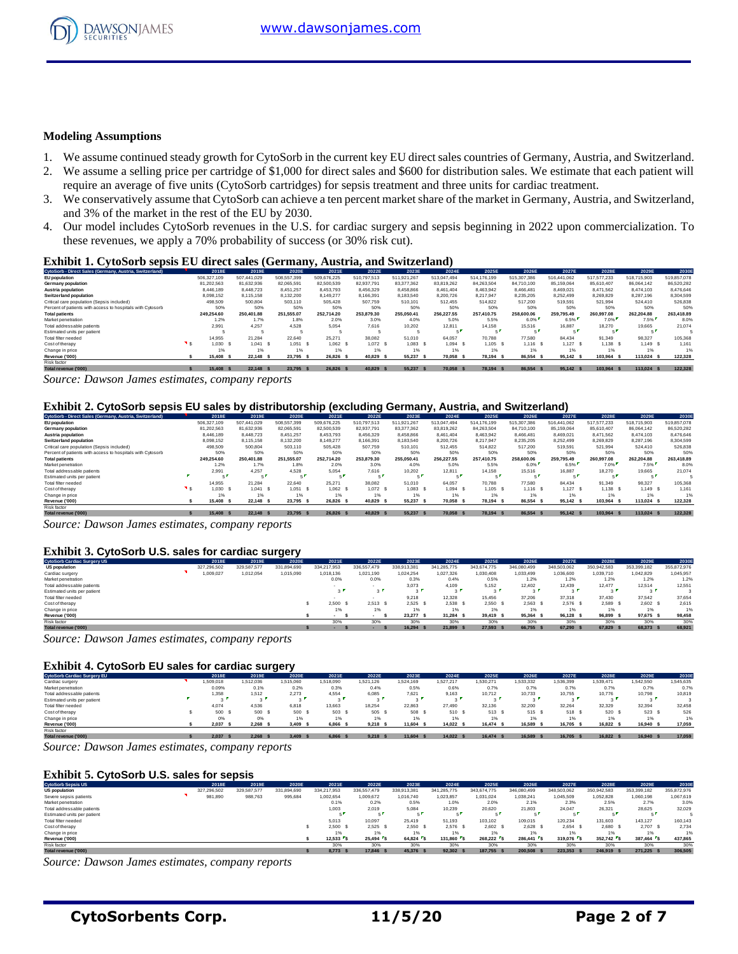

#### **Modeling Assumptions**

- 1. We assume continued steady growth for CytoSorb in the current key EU direct sales countries of Germany, Austria, and Switzerland.
- 2. We assume a selling price per cartridge of \$1,000 for direct sales and \$600 for distribution sales. We estimate that each patient will require an average of five units (CytoSorb cartridges) for sepsis treatment and three units for cardiac treatment.
- 3. We conservatively assume that CytoSorb can achieve a ten percent market share of the market in Germany, Austria, and Switzerland, and 3% of the market in the rest of the EU by 2030.
- 4. Our model includes CytoSorb revenues in the U.S. for cardiac surgery and sepsis beginning in 2022 upon commercialization. To these revenues, we apply a 70% probability of success (or 30% risk cut).

#### **Exhibit 1. CytoSorb sepsis EU direct sales (Germany, Austria, and Switzerland)**

| CytoSorb - Direct Sales (Germany, Austria, Switzerland)    | 2018E       | 2019E       | 2020E       | 2021E       | 2022E       | 2023E       | 2024E       | 2025E       | 2026E       | 2027E       | 2028E       | 2029E       | 2030E       |
|------------------------------------------------------------|-------------|-------------|-------------|-------------|-------------|-------------|-------------|-------------|-------------|-------------|-------------|-------------|-------------|
| <b>EU</b> population                                       | 506.327.109 | 507.441.029 | 508,557,399 | 509.676.225 | 510.797.513 | 511.921.267 | 513.047.494 | 514.176.199 | 515.307.386 | 516.441.062 | 517.577.233 | 518,715,903 | 519,857,078 |
| Germany population                                         | 81.202.563  | 81.632.936  | 82.065.591  | 82,500,539  | 82.937.791  | 83.377.362  | 83.819.262  | 84.263.504  | 84.710.100  | 85.159.064  | 85.610.407  | 86.064.142  | 86.520.282  |
| Austria population                                         | 8.446.189   | 8,448.723   | 8.451.257   | 8.453.793   | 8,456,329   | 8,458,866   | 8,461,404   | 8.463.942   | 8.466.481   | 8,469,021   | 8.471.562   | 8.474.103   | 8,476,646   |
| Switzerland population                                     | 8.098.152   | 8.115.158   | 8.132.200   | 8.149.277   | 8.166.391   | 8.183.540   | 8.200.726   | 8.217.947   | 8.235.205   | 8.252.499   | 8.269.829   | 8.287.196   | 8.304.599   |
| Critical care population (Sepsis included)                 | 498,509     | 500.804     | 503.110     | 505.428     | 507,759     | 510,101     | 512.455     | 514.822     | 517.200     | 519,591     | 521.994     | 524,410     | 526,838     |
| Percent of patients with access to hospitals with Cytosorb | 50%         | 50%         | 50%         | 50%         | 50%         | 50%         | 50%         | 50%         | 50%         | 50%         | 50%         | 50%         | 50%         |
| <b>Total patients</b>                                      | 249.254.60  | 250,401.88  | 251.555.07  | 252.714.20  | 253.879.30  | 255.050.41  | 256,227.55  | 257,410.75  | 258,600,06  | 259.795.49  | 260.997.08  | 262.204.88  | 263,418.89  |
| Market penetration                                         | 1.2%        | 1.7%        | 1.8%        | 2.0%        | 3.0%        | 4.0%        | 5.0%        | 5.5%        | 6.0%        | 6.5%        | 7.0%        | 7.5%        | 8.0%        |
| Total addressable patients                                 | 2.991       | 4.257       | 4.528       | 5.054       | 7.616       | 10.202      | 12.811      | 14.158      | 15,516      | 16.887      | 18.270      | 19.665      | 21.074      |
| Estimated units per patient                                |             |             |             |             |             |             |             |             |             | - 1         |             |             |             |
| Total filter needed                                        | 14.955      | 21.284      | 22.640      | 25.271      | 38,082      | 51,010      | 64.057      | 70.788      | 77,580      | 84.434      | 91.349      | 98.327      | 105,368     |
| Cost of therapy                                            | 1.030       | 1.041 S     | 1.051       | 1.062 S     | 1.072 S     | $1.083$ S   | 1.094 S     | 1.105 S     | $1.116$ S   | $1,127$ \$  | 1.138 S     | 1.149 S     | 1.161       |
| Change in price                                            | 1%          | 1%          | 1%          | 1%          | 1%          |             |             | 1%          | 1%          | 1%          | 1%          | 1%          | 1%          |
| Revenue ('000)                                             | 15,408      | 22.148 \$   | 23.795      | 26.826 S    | 40.829      | 55,237      | 70.058      | 78.194 S    | 86.554      | 95.142 \$   | 103.964 S   | 113.024 \$  | 122,328     |
| Risk factor                                                |             |             |             |             |             |             |             |             |             |             |             |             |             |
|                                                            |             |             |             |             |             |             |             |             |             |             |             |             |             |

7otalrevenue ('000) \$ 15,408 \$ 22,148 \$ 23,795 \$ 26,826 \$ 40,829 \$ 55,237 \$ 70,058 \$ 78,194 \$ 86,554 \$ 95,142 \$ 103,964 \$ 113,024 \$ 122,328

*Source: Dawson James estimates, company reports*

#### **Exhibit 2. CytoSorb sepsis EU sales by distributorship (excluding Germany, Austria, and Switzerland)**

| CytoSorb - Direct Sales (Germany, Austria, Switzerland)    | 2018E         | 2019E       | 2020E       | 2021E       | 2022E       | 2023E       | 2024E       | 2025E       | 2026E       | 2027E       | 2028E       | 2029E       | 2030E       |
|------------------------------------------------------------|---------------|-------------|-------------|-------------|-------------|-------------|-------------|-------------|-------------|-------------|-------------|-------------|-------------|
| EU population                                              | 506.327.109   | 507.441.029 | 508.557.399 | 509.676.225 | 510.797.513 | 511.921.267 | 513.047.494 | 514.176.199 | 515.307.386 | 516.441.062 | 517.577.233 | 518,715,903 | 519,857,078 |
| Germany population                                         | 81.202.563    | 81.632.936  | 82.065.591  | 82,500,539  | 82.937.791  | 83.377.362  | 83.819.262  | 84.263.504  | 84.710.100  | 85.159.064  | 85.610.407  | 86.064.142  | 86.520.282  |
| Austria population                                         | 8.446.189     | 8,448.723   | 8.451.257   | 8.453.793   | 8.456.329   | 8.458.866   | 8.461.404   | 8.463.942   | 8.466.481   | 8.469.021   | 8.471.562   | 8.474.103   | 8.476.646   |
| <b>Switzerland population</b>                              | 8,098,152     | 8,115,158   | 8,132,200   | 8,149,277   | 8,166,391   | 8,183,540   | 8,200,726   | 8.217.947   | 8,235,205   | 8,252,499   | 8,269,829   | 8,287,196   | 8,304,599   |
| Critical care population (Sepsis included)                 | 498,509       | 500.804     | 503.110     | 505.428     | 507.759     | 510.101     | 512.455     | 514.822     | 517.200     | 519.591     | 521.994     | 524,410     | 526.838     |
| Percent of patients with access to hospitals with Cytosorb | 50%           | 50%         | 50%         | 50%         | 50%         | 50%         | 50%         | 50%         | 50%         | 50%         | 50%         | 50%         | 50%         |
| <b>Total patients</b>                                      | 249.254.60    | 250.401.88  | 251.555.07  | 252.714.20  | 253.879.30  | 255.050.41  | 256.227.55  | 257,410.75  | 258,600,06  | 259.795.49  | 260.997.08  | 262.204.88  | 263,418.89  |
| Market penetration                                         | 1.2%          | 1.7%        | 1.8%        | 2.0%        | 3.0%        | 4.0%        | 5.0%        | 5.5%        | 6.0%        | 6.5%        | 7.0%        | 7.5%        | 8.0%        |
| Total addressable patients                                 | 2.991         | 4.257       | 4.528       | 5.054       | 7.616       | 10.202      | 12.811      | 14.158      | 15.516      | 16.887      | 18.270      | 19.665      | 21.074      |
| Estimated units per patient                                |               |             |             |             | e l         |             |             |             |             | - 1         |             |             |             |
| Total filter needed                                        | 14.955        | 21.284      | 22.640      | 25.271      | 38.082      | 51.010      | 64.057      | 70.788      | 77,580      | 84.434      | 91.349      | 98.327      | 105,368     |
| Cost of therapy                                            | 0.030         | 1.041 S     | 1.051       | 1.062 S     | $1,072$ \$  | 1.083 S     | $1.094$ S   | 1.105 S     | $1.116$ S   | $1,127$ \$  | 1.138 S     | 1.149 S     | 1.161       |
| Change in price                                            | 1%            | 1%          | 1%          |             | 1%          | 1%          |             | 1%          | 1%          | 1%          | 1%          |             | 1%          |
| Revenue ('000)                                             | 15,408        | 22.148 \$   | 23.795      | 26.826 S    | 40.829      | 55.237 \$   | 70.058 \$   | 78.194 S    | 86.554 \$   | 95.142 \$   | 103.964 S   | 113,024 \$  | 122,328     |
| Risk factor                                                |               |             |             |             |             |             |             |             |             |             |             |             |             |
| Total revenue ('000)                                       | 15,408<br>- 5 | 22.148 \$   | 23,795      | 26.826 S    | 40.829      | 55.237 \$   | 70.058 \$   | 78.194 S    | 86.554 \$   | 95.142 \$   | 103.964 S   | 113.024 \$  | 122.328     |

*Source: Dawson James estimates, company reports*

#### **Exhibit 3. CytoSorb U.S. sales for cardiac surgery**

| Exhibit 3. CytoSorb U.S. sales for cardiac surgery |  |             |             |             |                       |             |               |             |             |             |             |             |             |             |
|----------------------------------------------------|--|-------------|-------------|-------------|-----------------------|-------------|---------------|-------------|-------------|-------------|-------------|-------------|-------------|-------------|
| <b>CytoSorb Cardiac Surgery US</b>                 |  | 2018E       | 2019E       | 2020E       | 2021E                 | 2022E       | 2023E         | 2024E       | 2025E       | 2026E       | 2027E       | 2028E       | 2029E       | 2030E       |
| <b>US population</b>                               |  | 327.296.502 | 329.587.577 | 331.894.690 | 334.217.953           | 336.557.479 | 338.913.381   | 341.285.775 | 343.674.775 | 346,080,499 | 348.503.062 | 350.942.583 | 353,399,182 | 355,872,976 |
| Cardiac surgery                                    |  | 009,027     | 1,012,054   | 1,015,090   | 1.018.136             | 1.021.190   | 1.024.254     | 1,027,326   | 1,030,408   | 1.033.499   | 1,036,600   | 1,039,710   | 1.042.829   | 1.045.957   |
| Market penetration                                 |  |             |             |             | 0.0%                  | 0.0%        | 0.3%          | 0.4%        | 0.5%        | 1.2%        | 1.2%        | 1.2%        | 1.2%        | 1.2%        |
| Total addressable patients                         |  |             |             |             |                       |             | 3,073         | 4.109       | 5.152       | 12,402      | 12.439      | 12.477      | 12.514      | 12.551      |
| Estimated units per patient                        |  |             |             |             | $\sim$ $\blacksquare$ | $3^{\circ}$ | $\sim$ $\sim$ | $\sim$      | . .         | $\sim$ 1    | $\sim$      | $\sim$      | $\sim$      |             |
| Total filter needed                                |  |             |             |             |                       |             | 9,218         | 12,328      | 15,456      | 37,206      | 37,318      | 37,430      | 37.542      | 37.654      |
| Cost of therapy                                    |  |             |             |             | 2.500 S               | 2.513       | 2.525         | 2.538 S     | 2.550 S     | 2.563S      | 2.576S      | 2.589 S     | 2.602 S     | 2.615       |
| Change in price                                    |  |             |             |             | 1%                    | 1%          | 1%            |             | 1%          | 1%          | 1%          | 1%          | 1%          | 1%          |
| Revenue ('000)                                     |  |             |             |             |                       |             | 23.277 \$     | 31.284 S    | 39.419 S    | 95.364 \$   | 96.128 \$   | 96.899 \$   | 97.675 \$   | 98,458      |
| Risk factor                                        |  |             |             |             | 30%                   | 30%         | 30%           | 30%         | 30%         | 30%         | 30%         | 30%         | 30%         | 30%         |
| Total revenue ('000)                               |  |             |             |             |                       |             | 16.294 \$     | 21.899 \$   | 27,593 \$   | 66,755      | 67.290 \$   | 67.829 S    | 68,373 \$   | 68,921      |

*Source: Dawson James estimates, company reports*

#### **Exhibit 4. CytoSorb EU sales for cardiac surgery**

| <b>Exhibit 4. CytoSorb EU sales for cardiac surgery</b> |          |            |              |           |           |           |           |          |           |           |           |                |           |
|---------------------------------------------------------|----------|------------|--------------|-----------|-----------|-----------|-----------|----------|-----------|-----------|-----------|----------------|-----------|
| <b>CytoSorb Cardiac Surgery EU</b>                      | 2018E    | 2019E      | 2020E        | 2021E     | 2022E     | 2023E     | 2024E     | 2025E    | 2026E     | 2027E     | 2028E     | 2029E          | 2030E     |
| Cardiac surgery                                         | .509.018 | 1,512,036  | 1,515,060    | 1.518.090 | 1.521.126 | 1.524.169 | 1.527.217 | .530.271 | 1,533,332 | 1,536,399 | 1,539,471 | 1.542.550      | 1.545.635 |
| Market penetration                                      | 0.09%    | 0.1%       | 0.2%         | 0.3%      | 0.4%      | 0.5%      | 0.6%      | 0.7%     | 0.7%      | 0.7%      | 0.7%      | 0.7%           | 0.7%      |
| Total addressable patients                              | 1.358    | 1.512      | 2.273        | 4.554     | 6.085     | 7.621     | 9.163     | 10.712   | 10.733    | 10.755    | 10.776    | 10.798         | 10,819    |
| Estimated units per patient                             | . .      |            |              |           | $\sim$    |           | $\sim$    |          |           | $\sim$    |           | $\sim$         |           |
| Total filter needed                                     | 4.074    | 4.536      | 6.818        | 13.663    | 18.254    | 22.863    | 27,490    | 32.136   | 32.200    | 32.264    | 32.329    | 32.394         | 32.458    |
| Cost of therapy                                         | 500 S    | 500 \$     | 500 S        | 503       | 505 \$    | 508       | 510 S     | 513 S    | 515 S     | 518 S     | 520       | 523 \$         | 526       |
| Change in price                                         | 0%       | 0%         | 1%           | 1%        | 1%        | 1%        |           | 1%       | 1%        | 1%        | 1%        | 1%             | 1%        |
| Revenue ('000)                                          | 2.037    | 2.268      | 3.409<br>- 5 | 6,866     | 9.218     | 11.604    | 14.022 \$ | 16.474 S | 16,589    | 16.705 \$ | 16.822 S  | 16,940<br>- \$ | 17,059    |
| Risk factor                                             |          |            |              |           |           |           |           |          |           |           |           |                |           |
| Total revenue ('000)                                    | 2.037    | $2.268$ \$ | 3.409        | 6.866 S   | 9.218     | 11,604 \$ | 14.022 \$ | 16.474 S | 16,589 \$ | 16,705 \$ | 16.822 S  | 16,940 \$      | 17,059    |

*Source: Dawson James estimates, company reports*

#### **Exhibit 5. CytoSorb U.S. sales for sepsis**

| <b>Exhibit 5. CytoSorb U.S. sales for sepsis</b> |  |             |             |             |             |             |             |             |             |             |             |             |             |             |
|--------------------------------------------------|--|-------------|-------------|-------------|-------------|-------------|-------------|-------------|-------------|-------------|-------------|-------------|-------------|-------------|
| <b>CytoSorb Sepsis US</b>                        |  | 2018E       | 2019E       | 2020E       | 2021E       | 2022E       | 2023E       | 2024E       | 2025E       | 2026E       | 2027E       | 2028E       | 2029E       | 2030E       |
| <b>US population</b>                             |  | 327.296.502 | 329,587,577 | 331.894.690 | 334.217.953 | 336,557,479 | 338.913.381 | 341.285.775 | 343.674.775 | 346,080,499 | 348.503.062 | 350.942.583 | 353.399.182 | 355,872,976 |
| Severe sepsis patients                           |  | 981,890     | 988,763     | 995,684     | 1,002,654   | 1.009.672   | 1,016,740   | 1,023,857   | 1.031.024   | 1,038,241   | 1,045,509   | 1,052,828   | 1,060,198   | 1.067.619   |
| Market penetration                               |  |             |             |             | 0.1%        | 0.2%        | 0.5%        | 1.0%        | 2.0%        | 2.1%        | 2.3%        | 2.5%        | 2.7%        | 3.0%        |
| Total addressable patients                       |  |             |             |             | 1.003       | 2.019       | 5,084       | 10,239      | 20,620      | 21,803      | 24,047      | 26,321      | 28,625      | 32,029      |
| Estimated units per patient                      |  |             |             |             |             |             |             |             |             |             |             |             |             |             |
| Total filter needed                              |  |             |             |             | 5.013       | 10.097      | 25.419      | 51.193      | 103.102     | 109,015     | 120.234     | 131.603     | 143.127     | 160.143     |
| Cost of therapy                                  |  |             |             |             | 2.500 S     | 2.525       | 2.550 S     | 2.576 S     | 2.602 S     | 2.628 S     | 2.654 S     | 2.680 S     | 2.707 \$    | 2.734       |
| Change in price                                  |  |             |             |             |             | 1%          | 1%          |             | 1%          | 1%          | 1%          | 1%          |             | 1%          |
| Revenue ('000)                                   |  |             |             |             | 12.533 S    | $25.494$ S  | 64.824 \$   | 131,860 S   | 268.222 S   | 286.441 S   | 319.076 S   | 352.742 S   | 387.464 S   | 437.865     |
| Risk factor                                      |  |             |             |             | 30%         | 30%         | 30%         | 30%         | 30%         | 30%         | 30%         | 30%         | 30%         | 30%         |
| Total revenue ('000)                             |  |             |             |             | 8.773 S     | 17,846      | 45.376 \$   | 92.302      | 187,755 \$  | 200.508 \$  | 223.353     | 246.919 S   | 271.225 \$  | 306.505     |

*Source: Dawson James estimates, company reports*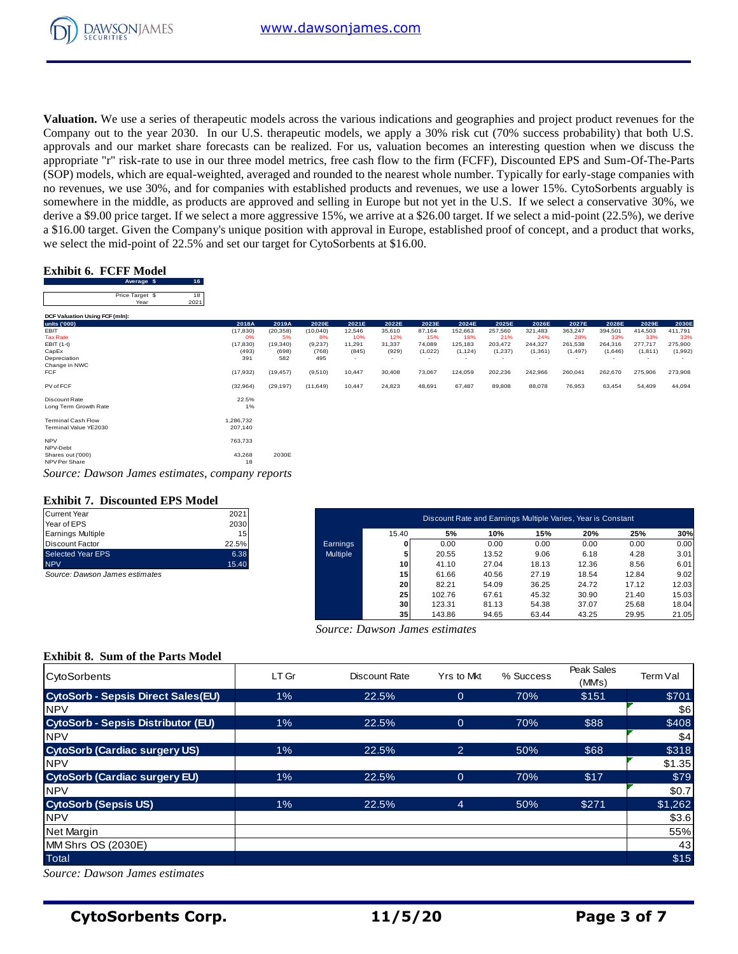

**Valuation.** We use a series of therapeutic models across the various indications and geographies and project product revenues for the Company out to the year 2030. In our U.S. therapeutic models, we apply a 30% risk cut (70% success probability) that both U.S. approvals and our market share forecasts can be realized. For us, valuation becomes an interesting question when we discuss the appropriate "r" risk-rate to use in our three model metrics, free cash flow to the firm (FCFF), Discounted EPS and Sum-Of-The-Parts (SOP) models, which are equal-weighted, averaged and rounded to the nearest whole number. Typically for early-stage companies with no revenues, we use 30%, and for companies with established products and revenues, we use a lower 15%. CytoSorbents arguably is somewhere in the middle, as products are approved and selling in Europe but not yet in the U.S. If we select a conservative 30%, we derive a \$9.00 price target. If we select a more aggressive 15%, we arrive at a \$26.00 target. If we select a mid-point (22.5%), we derive a \$16.00 target. Given the Company's unique position with approval in Europe, established proof of concept, and a product that works,

# **Exhibit 6. FCFF Model**

| а фтоло андек. Оттен ние сонтрану з антере рознон with аррготан н шаторе, езаютные ртоот от сонсерт, ана а ртоател тнаг works, |                         |            |              |           |          |        |        |         |                          |          |          |          |         |          |         |
|--------------------------------------------------------------------------------------------------------------------------------|-------------------------|------------|--------------|-----------|----------|--------|--------|---------|--------------------------|----------|----------|----------|---------|----------|---------|
| we select the mid-point of 22.5% and set our target for CytoSorbents at \$16.00.                                               |                         |            |              |           |          |        |        |         |                          |          |          |          |         |          |         |
|                                                                                                                                |                         |            |              |           |          |        |        |         |                          |          |          |          |         |          |         |
| <b>Exhibit 6. FCFF Model</b>                                                                                                   |                         |            |              |           |          |        |        |         |                          |          |          |          |         |          |         |
|                                                                                                                                | Average \$              | 16         |              |           |          |        |        |         |                          |          |          |          |         |          |         |
|                                                                                                                                | Price Target \$<br>Year | 18<br>2021 |              |           |          |        |        |         |                          |          |          |          |         |          |         |
| DCF Valuation Using FCF (mln):                                                                                                 |                         |            |              |           |          |        |        |         |                          |          |          |          |         |          |         |
| units ('000)                                                                                                                   |                         |            | 2018A        | 2019A     | 2020E    | 2021E  | 2022E  | 2023E   | 2024E                    | 2025E    | 2026E    | 2027E    | 2028E   | 2029E    | 2030E   |
| <b>EBIT</b>                                                                                                                    |                         |            | (17, 830)    | (20, 358) | (10,040) | 12,546 | 35,610 | 87,164  | 152,663                  | 257,560  | 321,483  | 363,247  | 394,501 | 414,503  | 411,791 |
| <b>Tax Rate</b>                                                                                                                |                         |            | 0%           | 5%        | 8%       | 10%    | 12%    | 15%     | 18%                      | 21%      | 24%      | 28%      | 33%     | 33%      | 33%     |
| $EBIT(1-t)$                                                                                                                    |                         |            | (17, 830)    | (19, 340) | (9,237)  | 11,291 | 31,337 | 74,089  | 125,183                  | 203,472  | 244,327  | 261,538  | 264,316 | 277,717  | 275,900 |
| CapEx                                                                                                                          |                         |            | (493)        | (698)     | (768)    | (845)  | (929)  | (1,022) | (1, 124)                 | (1, 237) | (1, 361) | (1, 497) | (1,646) | (1, 811) | (1,992) |
| Depreciation                                                                                                                   |                         |            | 391          | 582       | 495      |        | $\sim$ |         | $\overline{\phantom{a}}$ |          |          |          |         |          |         |
| Change in NWC                                                                                                                  |                         |            |              |           |          |        |        |         |                          |          |          |          |         |          |         |
| <b>FCF</b>                                                                                                                     |                         |            | (17, 932)    | (19, 457) | (9,510)  | 10,447 | 30,408 | 73,067  | 124,059                  | 202,236  | 242,966  | 260,041  | 262,670 | 275,906  | 273,908 |
| PV of FCF                                                                                                                      |                         |            | (32, 964)    | (29, 197) | (11,649) | 10,447 | 24,823 | 48,691  | 67,487                   | 89,808   | 88,078   | 76,953   | 63,454  | 54,409   | 44,094  |
| Discount Rate                                                                                                                  |                         |            | 22.5%        |           |          |        |        |         |                          |          |          |          |         |          |         |
| Long Term Growth Rate                                                                                                          |                         |            | 1%           |           |          |        |        |         |                          |          |          |          |         |          |         |
| <b>Terminal Cash Flow</b>                                                                                                      |                         |            | 1,286,732    |           |          |        |        |         |                          |          |          |          |         |          |         |
| Terminal Value YE2030                                                                                                          |                         |            | 207,140      |           |          |        |        |         |                          |          |          |          |         |          |         |
| <b>NPV</b><br>NPV-Debt                                                                                                         |                         |            | 763,733      |           |          |        |        |         |                          |          |          |          |         |          |         |
| Shares out ('000)<br>NPV Per Share                                                                                             |                         |            | 43,268<br>18 | 2030E     |          |        |        |         |                          |          |          |          |         |          |         |
| Source: Dawson James estimates, company reports                                                                                |                         |            |              |           |          |        |        |         |                          |          |          |          |         |          |         |

# **Exhibit 7. Discounted EPS Model**

| <b>Current Year</b>             | 2021  |
|---------------------------------|-------|
| Year of EPS                     | 2030  |
| <b>Earnings Multiple</b>        | 15    |
| Discount Factor                 | 22.5% |
| <b>Selected Year EPS</b>        | 6.38  |
| <b>NPV</b>                      | 15.40 |
| Source: Dawson, James estimates |       |

| Current Year                     | 2021       |                 |                 | Discount Rate and Earnings Multiple Varies, Year is Constant |       |       |       |       |       |
|----------------------------------|------------|-----------------|-----------------|--------------------------------------------------------------|-------|-------|-------|-------|-------|
| Year of EPS<br>Earnings Multiple | 2030<br>15 |                 | 15.40           | 5%                                                           | 10%   | 15%   | 20%   | 25%   | 30%   |
| Discount Factor                  | 22.5%      | Earnings        |                 | 0.00                                                         | 0.00  | 0.00  | 0.00  | 0.00  | 0.00  |
| Selected Year EPS                | 6.38       | <b>Multiple</b> |                 | 20.55                                                        | 13.52 | 9.06  | 6.18  | 4.28  | 3.01  |
| <b>NPV</b>                       | 15.40      |                 | 10              | 41.10                                                        | 27.04 | 18.13 | 12.36 | 8.56  | 6.01  |
| Source: Dawson James estimates   |            |                 | 15              | 61.66                                                        | 40.56 | 27.19 | 18.54 | 12.84 | 9.02  |
|                                  |            |                 | 20              | 82.21                                                        | 54.09 | 36.25 | 24.72 | 17.12 | 12.03 |
|                                  |            |                 | 25              | 102.76                                                       | 67.61 | 45.32 | 30.90 | 21.40 | 15.03 |
|                                  |            |                 | 30              | 123.31                                                       | 81.13 | 54.38 | 37.07 | 25.68 | 18.04 |
|                                  |            |                 | 35 <sub>1</sub> | 143.86                                                       | 94.65 | 63.44 | 43.25 | 29.95 | 21.05 |

# **Exhibit 8. Sum of the Parts Model**

| $\alpha$ енте а фэтоб рисс та get. If we scied a more aggressive 1970, we антис at а ф20.00 тагдет. If we scied a mid-point (22.970), we derive<br>a \$16.00 target. Given the Company's unique position with approval in Europe, established proof of concept, and a product that works,<br>we select the mid-point of 22.5% and set our target for CytoSorbents at \$16.00. |                            |                    |                    |                 |                                |                                     |                  |                                                              |                  |                  |                     |                 |                  |
|-------------------------------------------------------------------------------------------------------------------------------------------------------------------------------------------------------------------------------------------------------------------------------------------------------------------------------------------------------------------------------|----------------------------|--------------------|--------------------|-----------------|--------------------------------|-------------------------------------|------------------|--------------------------------------------------------------|------------------|------------------|---------------------|-----------------|------------------|
| <b>Exhibit 6. FCFF Model</b><br>16<br>Average \$                                                                                                                                                                                                                                                                                                                              |                            |                    |                    |                 |                                |                                     |                  |                                                              |                  |                  |                     |                 |                  |
| 18<br>Price Target \$<br>2021<br>Year                                                                                                                                                                                                                                                                                                                                         |                            |                    |                    |                 |                                |                                     |                  |                                                              |                  |                  |                     |                 |                  |
| DCF Valuation Using FCF (mln):                                                                                                                                                                                                                                                                                                                                                |                            |                    |                    |                 |                                |                                     |                  |                                                              |                  |                  |                     |                 |                  |
| units ('000)<br>EBIT                                                                                                                                                                                                                                                                                                                                                          | 2018A<br>(17, 830)         | 2019A<br>(20, 358) | 2020E<br>(10, 040) | 2021E<br>12,546 | 2022E<br>35,610                | 2023E<br>87,164                     | 2024E<br>152,663 | 2025E<br>257,560                                             | 2026E<br>321,483 | 2027E<br>363,247 | 2028<br>394,501     | 2029<br>414,503 | 2030E<br>411,791 |
| <b>Tax Rate</b><br>EBIT (1-t)                                                                                                                                                                                                                                                                                                                                                 | 0%<br>(17, 830)            | 5%<br>(19, 340)    | 8%<br>(9, 237)     | 10%<br>11,291   | 12%<br>31,337                  | 15%<br>74,089                       | 18%<br>125,183   | 21%<br>203,472                                               | 24%<br>244,327   | 28%<br>261,538   | 33%<br>264,316      | 33%<br>277,717  | 33%<br>275,900   |
| CapEx<br>Depreciation                                                                                                                                                                                                                                                                                                                                                         | (493)<br>391               | (698)<br>582       | (768)<br>495       | (845)           | (929)                          | (1,022)<br>$\overline{\phantom{a}}$ | (1, 124)         | (1, 237)                                                     | (1, 361)         | (1, 497)         | (1,646)             | (1, 811)        | (1,992)          |
| Change in NWC<br><b>FCF</b>                                                                                                                                                                                                                                                                                                                                                   | (17, 932)                  | (19, 457)          | (9,510)            | 10,447          | 30,408                         | 73,067                              | 124,059          | 202,236                                                      | 242,966          | 260,041          | 262,670             | 275,906         | 273,908          |
| PV of FCF                                                                                                                                                                                                                                                                                                                                                                     | (32, 964)                  | (29, 197)          | (11, 649)          | 10,447          | 24,823                         | 48,691                              | 67,487           | 89,808                                                       | 88,078           | 76,953           | 63,454              | 54,409          | 44,094           |
| <b>Discount Rate</b>                                                                                                                                                                                                                                                                                                                                                          | 22.5%                      |                    |                    |                 |                                |                                     |                  |                                                              |                  |                  |                     |                 |                  |
| Long Term Growth Rate<br><b>Terminal Cash Flow</b><br>Terminal Value YE2030                                                                                                                                                                                                                                                                                                   | 1%<br>1,286,732<br>207,140 |                    |                    |                 |                                |                                     |                  |                                                              |                  |                  |                     |                 |                  |
| <b>NPV</b>                                                                                                                                                                                                                                                                                                                                                                    | 763,733                    |                    |                    |                 |                                |                                     |                  |                                                              |                  |                  |                     |                 |                  |
| NPV-Debt<br>Shares out ('000)                                                                                                                                                                                                                                                                                                                                                 | 43,268                     | 2030E              |                    |                 |                                |                                     |                  |                                                              |                  |                  |                     |                 |                  |
| NPV Per Share                                                                                                                                                                                                                                                                                                                                                                 | 18                         |                    |                    |                 |                                |                                     |                  |                                                              |                  |                  |                     |                 |                  |
| Source: Dawson James estimates, company reports                                                                                                                                                                                                                                                                                                                               |                            |                    |                    |                 |                                |                                     |                  |                                                              |                  |                  |                     |                 |                  |
| <b>Exhibit 7. Discounted EPS Model</b>                                                                                                                                                                                                                                                                                                                                        |                            |                    |                    |                 |                                |                                     |                  |                                                              |                  |                  |                     |                 |                  |
| <b>Current Year</b>                                                                                                                                                                                                                                                                                                                                                           | 2021                       |                    |                    |                 |                                |                                     |                  | Discount Rate and Earnings Multiple Varies, Year is Constant |                  |                  |                     |                 |                  |
| Year of EPS<br><b>Earnings Multiple</b>                                                                                                                                                                                                                                                                                                                                       | 2030<br>15                 |                    |                    |                 | 15.40                          |                                     | 5%               | 10%                                                          | 15%              | 20%              |                     | 25%             | 30%              |
| <b>Discount Factor</b>                                                                                                                                                                                                                                                                                                                                                        | 22.5%                      |                    |                    | Earnings        | 0                              |                                     | 0.00             | 0.00                                                         | 0.00             | 0.00             |                     | 0.00            | 0.00             |
| <b>Selected Year EPS</b><br><b>NPV</b>                                                                                                                                                                                                                                                                                                                                        | 6.38<br>15.40              |                    |                    | Multiple        | 5<br>10                        |                                     | 20.55<br>41.10   | 13.52<br>27.04                                               | 9.06<br>18.13    | 6.18<br>12.36    |                     | 4.28<br>8.56    | 3.01<br>6.01     |
| Source: Dawson James estimates                                                                                                                                                                                                                                                                                                                                                |                            |                    |                    |                 | 15                             |                                     | 61.66            | 40.56                                                        | 27.19            | 18.54            |                     | 12.84           | 9.02             |
|                                                                                                                                                                                                                                                                                                                                                                               |                            |                    |                    |                 | 20                             |                                     | 82.21            | 54.09                                                        | 36.25            | 24.72            |                     | 17.12           | 12.03            |
|                                                                                                                                                                                                                                                                                                                                                                               |                            |                    |                    |                 | 25<br>30                       | 102.76<br>123.31                    |                  | 67.61<br>81.13                                               | 45.32<br>54.38   | 30.90<br>37.07   |                     | 21.40<br>25.68  | 15.03<br>18.04   |
|                                                                                                                                                                                                                                                                                                                                                                               |                            |                    |                    |                 | 35                             | 143.86                              |                  | 94.65                                                        | 63.44            | 43.25            |                     | 29.95           | 21.05            |
|                                                                                                                                                                                                                                                                                                                                                                               |                            |                    |                    |                 | Source: Dawson James estimates |                                     |                  |                                                              |                  |                  |                     |                 |                  |
| <b>Exhibit 8. Sum of the Parts Model</b>                                                                                                                                                                                                                                                                                                                                      |                            |                    |                    |                 |                                |                                     |                  |                                                              |                  |                  |                     |                 |                  |
| CytoSorbents                                                                                                                                                                                                                                                                                                                                                                  |                            | LT Gr              |                    |                 | Discount Rate                  |                                     | Yrs to Mkt       |                                                              | % Success        |                  | Peak Sales<br>(MMs) | Term Val        |                  |
| <b>CytoSorb - Sepsis Direct Sales(EU)</b>                                                                                                                                                                                                                                                                                                                                     |                            | 1%                 |                    |                 | 22.5%                          |                                     | $\overline{0}$   |                                                              | 70%              |                  | \$151               |                 | \$701            |
| <b>NPV</b>                                                                                                                                                                                                                                                                                                                                                                    |                            |                    |                    |                 |                                |                                     |                  |                                                              |                  |                  |                     |                 | \$6              |
| <b>CytoSorb - Sepsis Distributor (EU)</b>                                                                                                                                                                                                                                                                                                                                     |                            | 1%                 |                    |                 | 22.5%                          |                                     | $\overline{0}$   |                                                              | 70%              |                  | \$88                |                 | \$408            |
| <b>NPV</b>                                                                                                                                                                                                                                                                                                                                                                    |                            |                    |                    |                 |                                |                                     |                  |                                                              |                  |                  |                     |                 | \$4              |
| <b>CytoSorb (Cardiac surgery US)</b>                                                                                                                                                                                                                                                                                                                                          |                            | 1%                 |                    |                 | 22.5%                          |                                     | $\overline{2}$   |                                                              | 50%              |                  | \$68                |                 | \$318            |
| <b>NPV</b>                                                                                                                                                                                                                                                                                                                                                                    |                            |                    |                    |                 |                                |                                     |                  |                                                              |                  |                  |                     |                 | \$1.35           |
| <b>CytoSorb (Cardiac surgery EU)</b>                                                                                                                                                                                                                                                                                                                                          |                            | 1%                 |                    |                 | 22.5%                          |                                     | $\overline{0}$   |                                                              | 70%              |                  | \$17                |                 | \$79             |
| <b>NPV</b>                                                                                                                                                                                                                                                                                                                                                                    |                            |                    |                    |                 |                                |                                     |                  |                                                              |                  |                  |                     |                 | \$0.7            |
| <b>CytoSorb (Sepsis US)</b>                                                                                                                                                                                                                                                                                                                                                   |                            | $1\%$              |                    |                 | 22.5%                          |                                     | $\overline{4}$   |                                                              | 50%              |                  | \$271               |                 | \$1,262          |
| <b>NPV</b>                                                                                                                                                                                                                                                                                                                                                                    |                            |                    |                    |                 |                                |                                     |                  |                                                              |                  |                  |                     |                 | \$3.6            |
| Net Margin                                                                                                                                                                                                                                                                                                                                                                    |                            |                    |                    |                 |                                |                                     |                  |                                                              |                  |                  |                     |                 | 55%              |
| MM Shrs OS (2030E)                                                                                                                                                                                                                                                                                                                                                            |                            |                    |                    |                 |                                |                                     |                  |                                                              |                  |                  |                     |                 | 43               |
| Total                                                                                                                                                                                                                                                                                                                                                                         |                            |                    |                    |                 |                                |                                     |                  |                                                              |                  |                  |                     |                 | \$15             |
| Source: Dawson James estimates                                                                                                                                                                                                                                                                                                                                                |                            |                    |                    |                 |                                |                                     |                  |                                                              |                  |                  |                     |                 |                  |

**CytoSorbents Corp. 11/5/20 Page 3 of 7**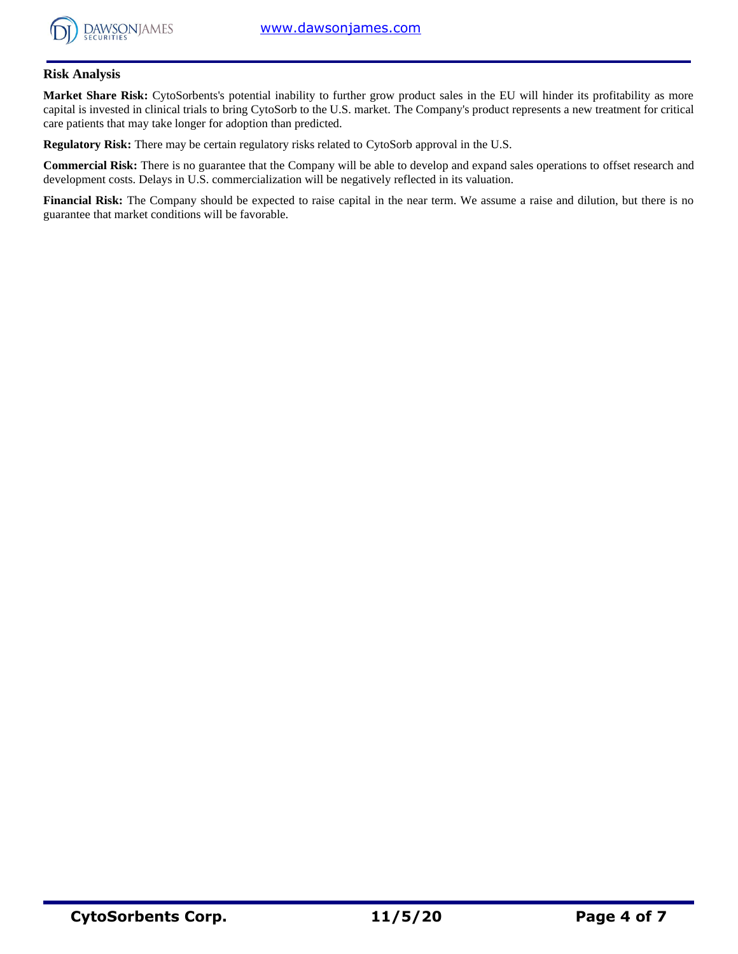

# **Risk Analysis**

**Market Share Risk:** CytoSorbents's potential inability to further grow product sales in the EU will hinder its profitability as more capital is invested in clinical trials to bring CytoSorb to the U.S. market. The Company's product represents a new treatment for critical care patients that may take longer for adoption than predicted.

**Regulatory Risk:** There may be certain regulatory risks related to CytoSorb approval in the U.S.

**Commercial Risk:** There is no guarantee that the Company will be able to develop and expand sales operations to offset research and development costs. Delays in U.S. commercialization will be negatively reflected in its valuation.

**Financial Risk:** The Company should be expected to raise capital in the near term. We assume a raise and dilution, but there is no guarantee that market conditions will be favorable.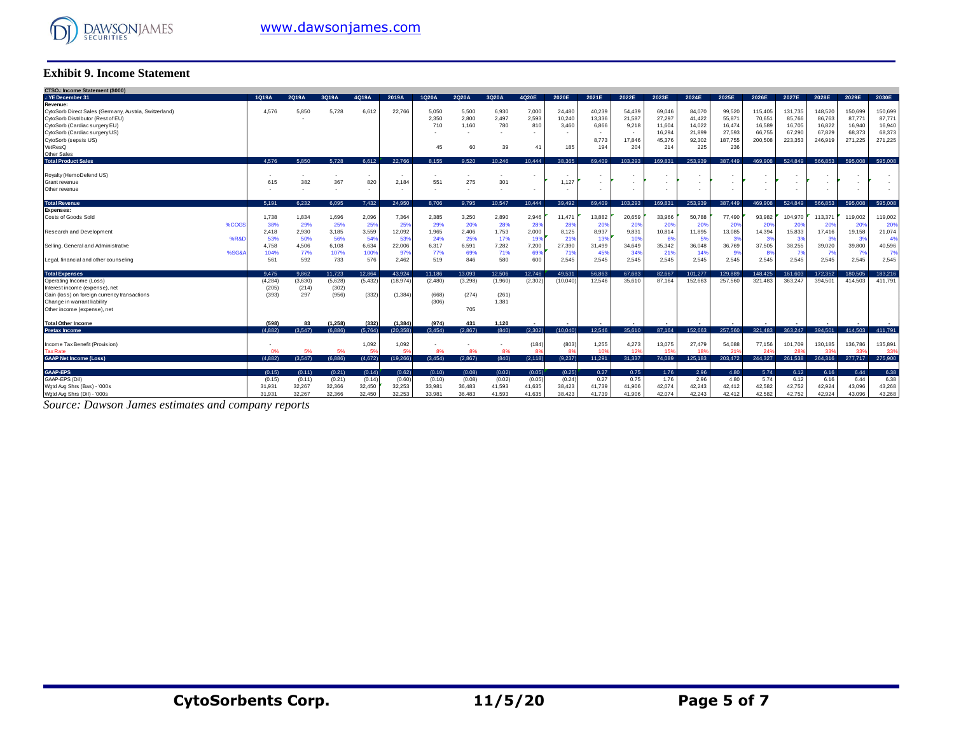

### **Exhibit 9. Income Statement**

| <b>Exhibit 9. Income Statement</b>                                                         |                |              |                          |               |               |                |                |              |                |                 |                          |                 |                  |                  |                  |                  |                          |                          |                 |                   |
|--------------------------------------------------------------------------------------------|----------------|--------------|--------------------------|---------------|---------------|----------------|----------------|--------------|----------------|-----------------|--------------------------|-----------------|------------------|------------------|------------------|------------------|--------------------------|--------------------------|-----------------|-------------------|
| CTSO.: Income Statement (\$000)                                                            |                |              |                          |               |               |                |                |              |                |                 |                          |                 |                  |                  |                  |                  |                          |                          |                 |                   |
| .: YE December 31                                                                          | 1Q19A          | 2Q19A        | 3Q19A                    | 4Q19A         | 2019A         | 1Q20A          | 2Q20A          | 3Q20A        | 4Q20E          | 2020E           | 2021E                    | 2022E           | 2023E            | 2024E            | 2025E            | 2026E            | 2027E                    | 2028E                    | 2029E           | 2030E             |
| Revenue:                                                                                   |                |              |                          |               |               |                |                |              |                |                 |                          |                 |                  |                  |                  |                  |                          |                          |                 |                   |
| CytoSorb Direct Sales (Germany, Austria, Switzerland)<br>CytoSorb Distributor (Rest of EU) | 4.576          | 5,850        | 5.728                    | 6,612         | 22.766        | 5.050<br>2,350 | 5.500          | 6,930        | 7,000<br>2,593 | 24.480          | 40,239                   | 54.439          | 69,046           | 84,070           | 99,520           | 115,405          | 131.735                  | 148,520                  | 150,699         | 150,699<br>87,771 |
| CytoSorb (Cardiac surgery EU)                                                              |                |              |                          |               |               | 710            | 2,800<br>1.160 | 2,497<br>780 | 810            | 10,240<br>3.460 | 13,336<br>6,866          | 21,587<br>9,218 | 27,297<br>11,604 | 41,422<br>14.022 | 55,871<br>16,474 | 70,651<br>16,589 | 85,766<br>16,705         | 86,763<br>16,822         | 87,77<br>16,940 | 16,940            |
| CytoSorb (Cardiac surgery US)                                                              |                |              |                          |               |               |                |                |              |                |                 | $\sim$                   | $\sim$          | 16,294           | 21,899           | 27,593           | 66,755           | 67,290                   | 67.829                   | 68,373          | 68,373            |
| CytoSorb (sepsis US)                                                                       |                |              |                          |               |               |                |                |              |                |                 | 8,773                    | 17.846          | 45.376           | 92.302           | 187,755          | 200,508          | 223.353                  | 246,919                  | 271.225         | 271,225           |
| VetResQ                                                                                    |                |              |                          |               |               | 45             | 60             | 39           | 41             | 185             | 194                      | 204             | 214              | 225              | 236              |                  |                          |                          |                 |                   |
| Other Sales                                                                                |                |              |                          |               |               |                |                |              |                |                 |                          |                 |                  |                  |                  |                  |                          |                          |                 |                   |
| <b>Total Product Sales</b>                                                                 | 4.576          | 5.850        | 5.728                    | 6.612         | 22.766        | 8.155          | 9.520          | 10.246       | 10.444         | 38.365          | 69.409                   | 103.293         | 169.831          | 253.939          | 387.449          | 469,908          | 524.849                  | 566.853                  | 595.008         | 595.008           |
|                                                                                            |                |              |                          |               |               |                |                |              |                |                 | $\overline{\phantom{a}}$ |                 |                  |                  |                  |                  |                          |                          |                 |                   |
| Royalty (HemoDefend US)<br>Grant revenue                                                   | 615            | 382          | 367                      | $\sim$<br>820 | 2.184         | 551            | 275            | 301          |                | 1.127           | $\overline{\phantom{a}}$ |                 |                  |                  |                  |                  |                          |                          | ٠               |                   |
| Other revenue                                                                              |                |              | $\overline{\phantom{a}}$ | ٠             |               |                |                |              |                |                 | $\sim$                   |                 |                  |                  |                  |                  | $\overline{\phantom{a}}$ |                          | ٠               |                   |
|                                                                                            |                |              |                          |               |               |                |                |              |                |                 |                          |                 |                  |                  |                  |                  |                          |                          |                 |                   |
| <b>Total Revenue</b>                                                                       | 5.191          | 6.232        | 6.095                    | 7.432         | 24.950        | 8.706          | 9.795          | 10.547       | 10.444         | 39.492          | 69.409                   | 103.293         | 169.831          | 253,939          | 387.449          | 469,908          | 524.849                  | 566.853                  | 595,008         | 595,008           |
| <b>Expenses:</b>                                                                           |                |              |                          |               |               |                |                |              |                |                 |                          |                 |                  |                  |                  |                  |                          |                          |                 |                   |
| Costs of Goods Sold                                                                        | 1.738          | 1,834        | 1.696                    | 2,096         | 7.364         | 2.385          | 3.250          | 2,890        | 2,946          | 11.471          | 13.882                   | 20.659          | 33,966           | 50.788           | 77,490           | 93.982           | 104.970                  | 113,371                  | 119,002         | 119,002           |
| %COGS                                                                                      | 38%            | 29%          | 25%                      | 25%           | 25%           | 29%            | 20%            | 28%          | 28%            | 28%             | 20%                      | 20%             | 20%              | 20%              | 20%              | 20%              | 20%                      | 20%                      | 20%             | 20%               |
| Research and Development<br>%R&D                                                           | 2,418<br>53%   | 2,930<br>50% | 3,185<br>56%             | 3,559<br>54%  | 12,092<br>53% | 1,965          | 2,406          | 1,753<br>17% | 2,000          | 8,125<br>219    | 8,937<br>139             | 9,831<br>10%    | 10,814<br>6%     | 11,895           | 13,085<br>3%     | 14,394<br>-39    | 15,833<br>3 <sup>9</sup> | 17,416<br>3 <sup>o</sup> | 19,158<br>-31   | 21,074<br>-49     |
| Selling, General and Administrative                                                        | 4.758          | 4.506        | 6.108                    | 6,634         | 22,006        | 24%<br>6,317   | 25%<br>6.591   | 7,282        | 199<br>7,200   | 27,390          | 31,499                   | 34,649          | 35,342           | 36,048           | 36,769           | 37,505           | 38,255                   | 39,020                   | 39,800          | 40,596            |
| %SG&                                                                                       | 104%           | 77%          | 107%                     | 100%          | 97%           | 77%            | 69%            | 71%          | 699            | 719             | 45%                      | 34%             | 219              | 14%              | 9%               | 8 <sup>°</sup>   | 7%                       | 7%                       | 7 <sup>0</sup>  | 7%                |
| Legal, financial and other counseling                                                      | 561            | 592          | 733                      | 576           | 2,462         | 519            | 846            | 580          | 600            | 2,545           | 2,545                    | 2,545           | 2,545            | 2.545            | 2,545            | 2,545            | 2,545                    | 2.545                    | 2.545           | 2,545             |
|                                                                                            |                |              |                          |               |               |                |                |              |                |                 |                          |                 |                  |                  |                  |                  |                          |                          |                 |                   |
| <b>Total Expenses</b>                                                                      | 9.475          | 9.862        | 11.723                   | 12.864        | 43.924        | 11.186         | 13.093         | 12.506       | 12.746         | 49.531          | 56.863                   | 67.683          | 82.667           | 101.277          | 129,889          | 148.425          | 161.603                  | 172.352                  | 180.505         | 183.216           |
| Operating Income (Loss)                                                                    | (4, 284)       | (3,630)      | (5,628)                  | (5, 432)      | (18, 974)     | (2.480)        | (3,298)        | (1,960)      | (2.302)        | (10.040)        | 12.546                   | 35,610          | 87.164           | 152.663          | 257.560          | 321.483          | 363.247                  | 394.501                  | 414.503         | 411.791           |
| Interest income (expense), net<br>Gain (loss) on foreign currency transactions             | (205)<br>(393) | (214)<br>297 | (302)<br>(956)           | (332)         | (1.384)       | (668)          | (274)          | (261)        |                |                 |                          |                 |                  |                  |                  |                  |                          |                          |                 |                   |
| Change in warrant liability                                                                |                |              |                          |               |               | (306)          |                | 1,381        |                |                 |                          |                 |                  |                  |                  |                  |                          |                          |                 |                   |
| Other income (expense), net                                                                |                |              |                          |               |               |                | 705            |              |                |                 |                          |                 |                  |                  |                  |                  |                          |                          |                 |                   |
|                                                                                            |                |              |                          |               |               |                |                |              |                |                 |                          |                 |                  |                  |                  |                  |                          |                          |                 |                   |
| <b>Total Other Income</b>                                                                  | (598)          | 83           | (1, 258)                 | (332)         | (1, 384)      | (974)          | 431            | 1.120        |                |                 |                          |                 |                  |                  |                  |                  |                          |                          |                 |                   |
| <b>Pretax Income</b>                                                                       | (4.882)        | (3.547)      | (6.886)                  | (5.764)       | (20.358)      | (3.454)        | (2.867)        | (840)        | (2.302)        | (10.040)        | 12.546                   | 35.610          | 87.164           | 152.663          | 257.560          | 321,483          | 363.247                  | 394.501                  | 414.503         | 411.791           |
| Income Tax Benefit (Provision)                                                             |                |              |                          | 1,092         | 1,092         |                |                |              | (184)          | (803)           | 1,255                    | 4,273           | 13,075           | 27,479           | 54.088           | 77.156           | 101.709                  | 130.185                  | 136,786         | 135,891           |
| <b>Tax Rate</b>                                                                            | 0%             | 5%           | 5%                       | 51            | 59            | 8%             | 8%             | 8%           | 8s             |                 | 10                       | 12 <sup>o</sup> | 15%              |                  | 21 <sup>1</sup>  |                  | 28                       | 339                      | 33              | 339               |
| <b>GAAP Net Income (Loss)</b>                                                              | (4.882)        | (3.547)      | (6.886)                  | (4,672)       | (19, 266)     | (3,454)        | (2,867)        | (840)        | (2, 118)       | (9,237)         | 11,291                   | 31,337          | 74.089           | 125.183          | 203,472          | 244,327          | 261,538                  | 264,316                  | 277,717         | 275,900           |
|                                                                                            |                |              |                          |               |               |                |                |              |                |                 |                          |                 |                  |                  |                  |                  |                          |                          |                 |                   |
| <b>GAAP-EPS</b>                                                                            | (0.15)         | (0.11)       | (0.21)                   | (0.14)        | (0.62)        | (0.10)         | (0.08)         | (0.02)       | (0.05)         | (0.25)          | 0.27                     | 0.75            | 1.76             | 2.96             | 4.80             | 5.74             | 6.12                     | 6.16                     | 6.44            | 6.38              |
| GAAP-EPS (Dil)                                                                             | (0.15)         | (0.11)       | (0.21)                   | (0.14)        | (0.60)        | (0.10)         | (0.08)         | (0.02)       | (0.05)         | (0.24)          | 0.27                     | 0.75            | 1.76             | 2.96             | 4.80             | 5.74             | 6.12                     | 6.16                     | 6.44            | 6.38              |
| Wgtd Avg Shrs (Bas) - '000s                                                                | 31,931         | 32,267       | 32,366                   | 32,450        | 32,253        | 33,981         | 36,483         | 41,593       | 41,635         | 38,423          | 41,739                   | 41,906          | 42,074           | 42,243           | 42,412           | 42,582           | 42,752                   | 42,924                   | 43,096          | 43,268            |
| Wgtd Avg Shrs (Dil) - '000s                                                                | 31,931         | 32.267       | 32.366                   | 32.450        | 32.253        | 33,981         | 36.483         | 41.593       | 41.635         | 38.423          | 41.739                   | 41.906          | 42.074           | 42.243           | 42.412           | 42.582           | 42.752                   | 42.924                   | 43.096          | 43.268            |

*Source: Dawson James estimates and company reports*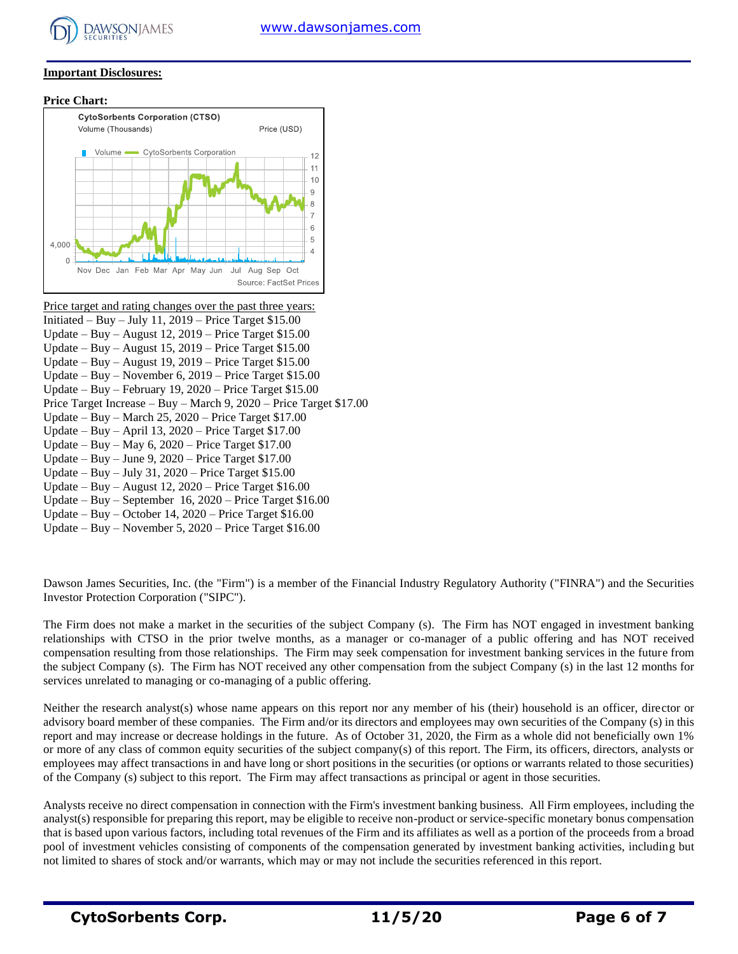

#### **Important Disclosures:**

**Price Chart:**



Price target and rating changes over the past three years: Initiated – Buy – July 11,  $2019$  – Price Target \$15.00 Update – Buy – August 12, 2019 – Price Target \$15.00 Update – Buy – August 15, 2019 – Price Target \$15.00 Update – Buy – August 19, 2019 – Price Target \$15.00 Update – Buy – November 6, 2019 – Price Target \$15.00 Update – Buy – February 19, 2020 – Price Target \$15.00 Price Target Increase – Buy – March 9, 2020 – Price Target \$17.00 Update – Buy – March 25, 2020 – Price Target \$17.00 Update – Buy – April 13, 2020 – Price Target \$17.00 Update – Buy – May 6, 2020 – Price Target \$17.00 Update – Buy – June 9, 2020 – Price Target \$17.00 Update – Buy – July 31, 2020 – Price Target \$15.00 Update – Buy – August 12, 2020 – Price Target \$16.00 Update – Buy – September 16, 2020 – Price Target \$16.00 Update – Buy – October 14, 2020 – Price Target \$16.00 Update – Buy – November 5, 2020 – Price Target \$16.00

Dawson James Securities, Inc. (the "Firm") is a member of the Financial Industry Regulatory Authority ("FINRA") and the Securities Investor Protection Corporation ("SIPC").

The Firm does not make a market in the securities of the subject Company (s). The Firm has NOT engaged in investment banking relationships with CTSO in the prior twelve months, as a manager or co-manager of a public offering and has NOT received compensation resulting from those relationships. The Firm may seek compensation for investment banking services in the future from the subject Company (s). The Firm has NOT received any other compensation from the subject Company (s) in the last 12 months for services unrelated to managing or co-managing of a public offering.

Neither the research analyst(s) whose name appears on this report nor any member of his (their) household is an officer, director or advisory board member of these companies. The Firm and/or its directors and employees may own securities of the Company (s) in this report and may increase or decrease holdings in the future. As of October 31, 2020, the Firm as a whole did not beneficially own 1% or more of any class of common equity securities of the subject company(s) of this report. The Firm, its officers, directors, analysts or employees may affect transactions in and have long or short positions in the securities (or options or warrants related to those securities) of the Company (s) subject to this report. The Firm may affect transactions as principal or agent in those securities.

Analysts receive no direct compensation in connection with the Firm's investment banking business. All Firm employees, including the analyst(s) responsible for preparing this report, may be eligible to receive non-product or service-specific monetary bonus compensation that is based upon various factors, including total revenues of the Firm and its affiliates as well as a portion of the proceeds from a broad pool of investment vehicles consisting of components of the compensation generated by investment banking activities, including but not limited to shares of stock and/or warrants, which may or may not include the securities referenced in this report.